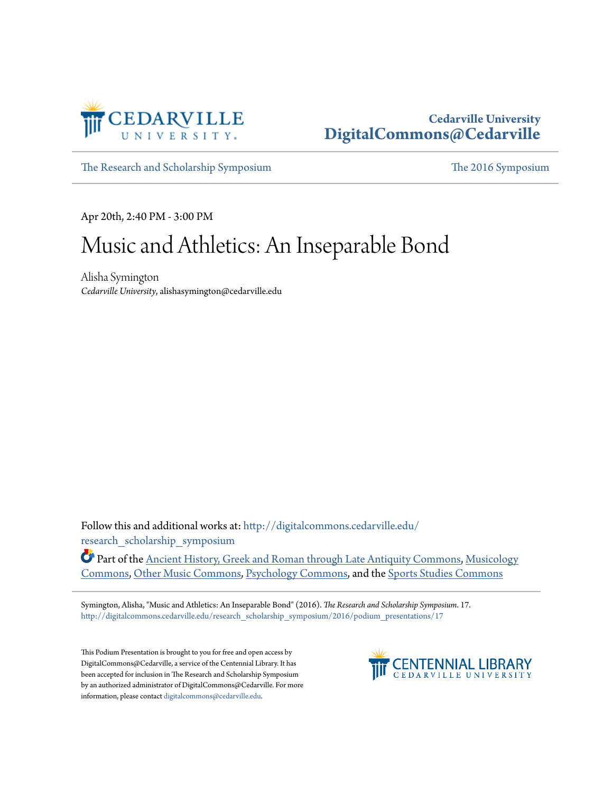

### **Cedarville University [DigitalCommons@Cedarville](http://digitalcommons.cedarville.edu?utm_source=digitalcommons.cedarville.edu%2Fresearch_scholarship_symposium%2F2016%2Fpodium_presentations%2F17&utm_medium=PDF&utm_campaign=PDFCoverPages)**

[The Research and Scholarship Symposium](http://digitalcommons.cedarville.edu/research_scholarship_symposium?utm_source=digitalcommons.cedarville.edu%2Fresearch_scholarship_symposium%2F2016%2Fpodium_presentations%2F17&utm_medium=PDF&utm_campaign=PDFCoverPages) [The 2016 Symposium](http://digitalcommons.cedarville.edu/research_scholarship_symposium/2016?utm_source=digitalcommons.cedarville.edu%2Fresearch_scholarship_symposium%2F2016%2Fpodium_presentations%2F17&utm_medium=PDF&utm_campaign=PDFCoverPages)

Apr 20th, 2:40 PM - 3:00 PM

## Music and Athletics: An Inseparable Bond

Alisha Symington *Cedarville University*, alishasymington@cedarville.edu

Follow this and additional works at: [http://digitalcommons.cedarville.edu/](http://digitalcommons.cedarville.edu/research_scholarship_symposium?utm_source=digitalcommons.cedarville.edu%2Fresearch_scholarship_symposium%2F2016%2Fpodium_presentations%2F17&utm_medium=PDF&utm_campaign=PDFCoverPages) [research\\_scholarship\\_symposium](http://digitalcommons.cedarville.edu/research_scholarship_symposium?utm_source=digitalcommons.cedarville.edu%2Fresearch_scholarship_symposium%2F2016%2Fpodium_presentations%2F17&utm_medium=PDF&utm_campaign=PDFCoverPages)

Part of the [Ancient History, Greek and Roman through Late Antiquity Commons](http://network.bepress.com/hgg/discipline/447?utm_source=digitalcommons.cedarville.edu%2Fresearch_scholarship_symposium%2F2016%2Fpodium_presentations%2F17&utm_medium=PDF&utm_campaign=PDFCoverPages), [Musicology](http://network.bepress.com/hgg/discipline/521?utm_source=digitalcommons.cedarville.edu%2Fresearch_scholarship_symposium%2F2016%2Fpodium_presentations%2F17&utm_medium=PDF&utm_campaign=PDFCoverPages) [Commons,](http://network.bepress.com/hgg/discipline/521?utm_source=digitalcommons.cedarville.edu%2Fresearch_scholarship_symposium%2F2016%2Fpodium_presentations%2F17&utm_medium=PDF&utm_campaign=PDFCoverPages) [Other Music Commons,](http://network.bepress.com/hgg/discipline/524?utm_source=digitalcommons.cedarville.edu%2Fresearch_scholarship_symposium%2F2016%2Fpodium_presentations%2F17&utm_medium=PDF&utm_campaign=PDFCoverPages) [Psychology Commons](http://network.bepress.com/hgg/discipline/404?utm_source=digitalcommons.cedarville.edu%2Fresearch_scholarship_symposium%2F2016%2Fpodium_presentations%2F17&utm_medium=PDF&utm_campaign=PDFCoverPages), and the [Sports Studies Commons](http://network.bepress.com/hgg/discipline/1198?utm_source=digitalcommons.cedarville.edu%2Fresearch_scholarship_symposium%2F2016%2Fpodium_presentations%2F17&utm_medium=PDF&utm_campaign=PDFCoverPages)

Symington, Alisha, "Music and Athletics: An Inseparable Bond" (2016). *The Research and Scholarship Symposium*. 17. [http://digitalcommons.cedarville.edu/research\\_scholarship\\_symposium/2016/podium\\_presentations/17](http://digitalcommons.cedarville.edu/research_scholarship_symposium/2016/podium_presentations/17?utm_source=digitalcommons.cedarville.edu%2Fresearch_scholarship_symposium%2F2016%2Fpodium_presentations%2F17&utm_medium=PDF&utm_campaign=PDFCoverPages)

This Podium Presentation is brought to you for free and open access by DigitalCommons@Cedarville, a service of the Centennial Library. It has been accepted for inclusion in The Research and Scholarship Symposium by an authorized administrator of DigitalCommons@Cedarville. For more information, please contact [digitalcommons@cedarville.edu.](mailto:digitalcommons@cedarville.edu)

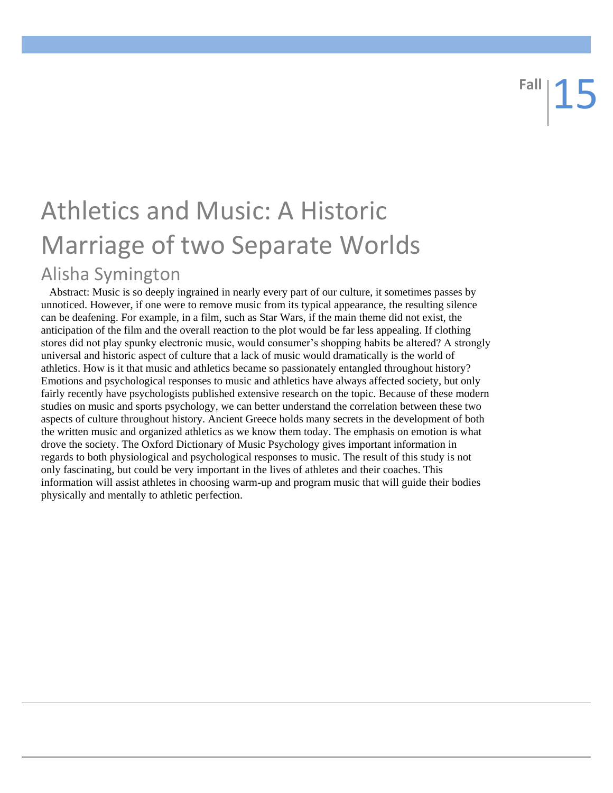# Athletics and Music: A Historic Marriage of two Separate Worlds Alisha Symington

 Abstract: Music is so deeply ingrained in nearly every part of our culture, it sometimes passes by unnoticed. However, if one were to remove music from its typical appearance, the resulting silence can be deafening. For example, in a film, such as Star Wars, if the main theme did not exist, the anticipation of the film and the overall reaction to the plot would be far less appealing. If clothing stores did not play spunky electronic music, would consumer's shopping habits be altered? A strongly universal and historic aspect of culture that a lack of music would dramatically is the world of athletics. How is it that music and athletics became so passionately entangled throughout history? Emotions and psychological responses to music and athletics have always affected society, but only fairly recently have psychologists published extensive research on the topic. Because of these modern studies on music and sports psychology, we can better understand the correlation between these two aspects of culture throughout history. Ancient Greece holds many secrets in the development of both the written music and organized athletics as we know them today. The emphasis on emotion is what drove the society. The Oxford Dictionary of Music Psychology gives important information in regards to both physiological and psychological responses to music. The result of this study is not only fascinating, but could be very important in the lives of athletes and their coaches. This information will assist athletes in choosing warm-up and program music that will guide their bodies physically and mentally to athletic perfection.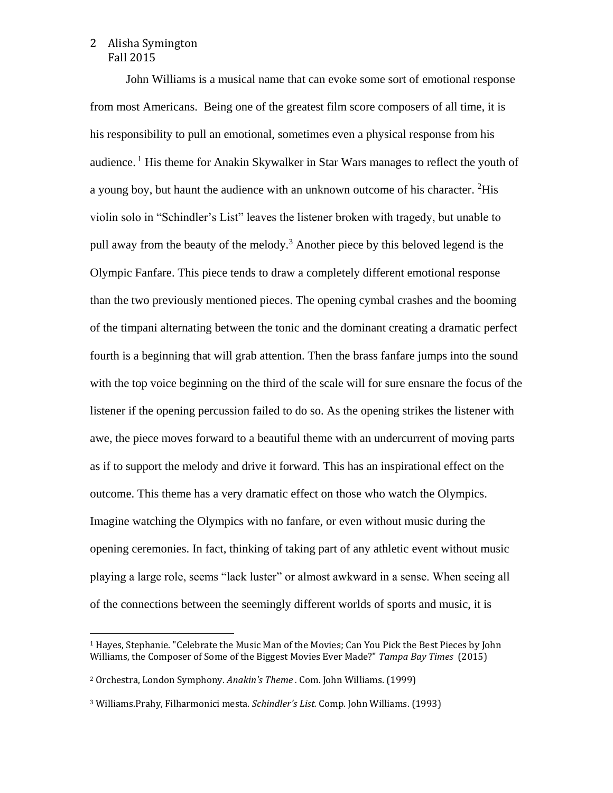#### Alisha Symington 2 Fall 2015

 $\overline{\phantom{a}}$ 

John Williams is a musical name that can evoke some sort of emotional response from most Americans. Being one of the greatest film score composers of all time, it is his responsibility to pull an emotional, sometimes even a physical response from his audience. <sup>1</sup> His theme for Anakin Skywalker in Star Wars manages to reflect the youth of a young boy, but haunt the audience with an unknown outcome of his character. <sup>2</sup>His violin solo in "Schindler's List" leaves the listener broken with tragedy, but unable to pull away from the beauty of the melody.<sup>3</sup> Another piece by this beloved legend is the Olympic Fanfare. This piece tends to draw a completely different emotional response than the two previously mentioned pieces. The opening cymbal crashes and the booming of the timpani alternating between the tonic and the dominant creating a dramatic perfect fourth is a beginning that will grab attention. Then the brass fanfare jumps into the sound with the top voice beginning on the third of the scale will for sure ensnare the focus of the listener if the opening percussion failed to do so. As the opening strikes the listener with awe, the piece moves forward to a beautiful theme with an undercurrent of moving parts as if to support the melody and drive it forward. This has an inspirational effect on the outcome. This theme has a very dramatic effect on those who watch the Olympics. Imagine watching the Olympics with no fanfare, or even without music during the opening ceremonies. In fact, thinking of taking part of any athletic event without music playing a large role, seems "lack luster" or almost awkward in a sense. When seeing all of the connections between the seemingly different worlds of sports and music, it is

<sup>1</sup> Hayes, Stephanie. "Celebrate the Music Man of the Movies; Can You Pick the Best Pieces by John Williams, the Composer of Some of the Biggest Movies Ever Made?" *Tampa Bay Times* (2015)

<sup>2</sup> Orchestra, London Symphony. *Anakin's Theme .* Com. John Williams. (1999)

<sup>3</sup> Williams.Prahy, Filharmonici mesta. *Schindler's List.* Comp. John Williams. (1993)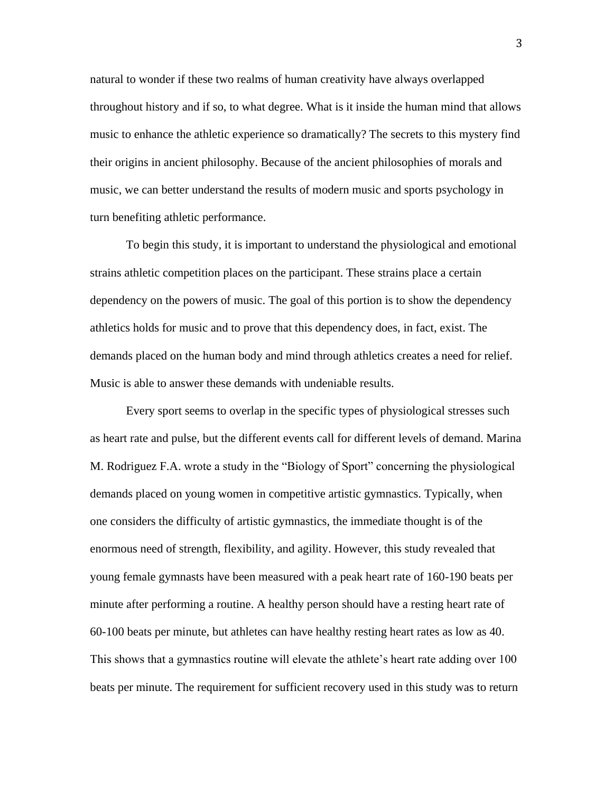natural to wonder if these two realms of human creativity have always overlapped throughout history and if so, to what degree. What is it inside the human mind that allows music to enhance the athletic experience so dramatically? The secrets to this mystery find their origins in ancient philosophy. Because of the ancient philosophies of morals and music, we can better understand the results of modern music and sports psychology in turn benefiting athletic performance.

To begin this study, it is important to understand the physiological and emotional strains athletic competition places on the participant. These strains place a certain dependency on the powers of music. The goal of this portion is to show the dependency athletics holds for music and to prove that this dependency does, in fact, exist. The demands placed on the human body and mind through athletics creates a need for relief. Music is able to answer these demands with undeniable results.

Every sport seems to overlap in the specific types of physiological stresses such as heart rate and pulse, but the different events call for different levels of demand. Marina M. Rodriguez F.A. wrote a study in the "Biology of Sport" concerning the physiological demands placed on young women in competitive artistic gymnastics. Typically, when one considers the difficulty of artistic gymnastics, the immediate thought is of the enormous need of strength, flexibility, and agility. However, this study revealed that young female gymnasts have been measured with a peak heart rate of 160-190 beats per minute after performing a routine. A healthy person should have a resting heart rate of 60-100 beats per minute, but athletes can have healthy resting heart rates as low as 40. This shows that a gymnastics routine will elevate the athlete's heart rate adding over 100 beats per minute. The requirement for sufficient recovery used in this study was to return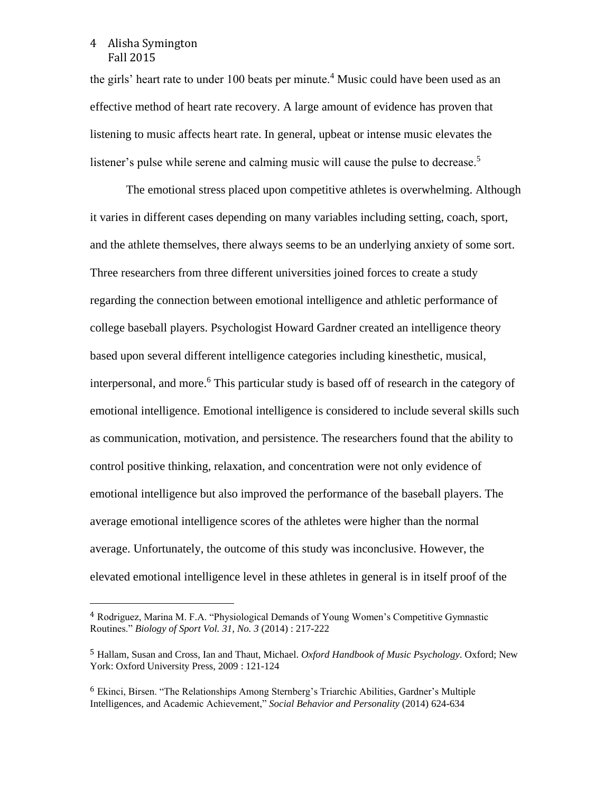#### Alisha Symington 4 Fall 2015

 $\overline{\phantom{a}}$ 

the girls' heart rate to under 100 beats per minute.<sup>4</sup> Music could have been used as an effective method of heart rate recovery. A large amount of evidence has proven that listening to music affects heart rate. In general, upbeat or intense music elevates the listener's pulse while serene and calming music will cause the pulse to decrease.<sup>5</sup>

The emotional stress placed upon competitive athletes is overwhelming. Although it varies in different cases depending on many variables including setting, coach, sport, and the athlete themselves, there always seems to be an underlying anxiety of some sort. Three researchers from three different universities joined forces to create a study regarding the connection between emotional intelligence and athletic performance of college baseball players. Psychologist Howard Gardner created an intelligence theory based upon several different intelligence categories including kinesthetic, musical, interpersonal, and more.<sup>6</sup> This particular study is based off of research in the category of emotional intelligence. Emotional intelligence is considered to include several skills such as communication, motivation, and persistence. The researchers found that the ability to control positive thinking, relaxation, and concentration were not only evidence of emotional intelligence but also improved the performance of the baseball players. The average emotional intelligence scores of the athletes were higher than the normal average. Unfortunately, the outcome of this study was inconclusive. However, the elevated emotional intelligence level in these athletes in general is in itself proof of the

<sup>4</sup> Rodriguez, Marina M. F.A. "Physiological Demands of Young Women's Competitive Gymnastic Routines." *Biology of Sport Vol. 31, No. 3* (2014) : 217-222

<sup>5</sup> Hallam, Susan and Cross, Ian and Thaut, Michael. *Oxford Handbook of Music Psychology*. Oxford; New York: Oxford University Press, 2009 : 121-124

<sup>6</sup> Ekinci, Birsen. "The Relationships Among Sternberg's Triarchic Abilities, Gardner's Multiple Intelligences, and Academic Achievement," *Social Behavior and Personality* (2014) 624-634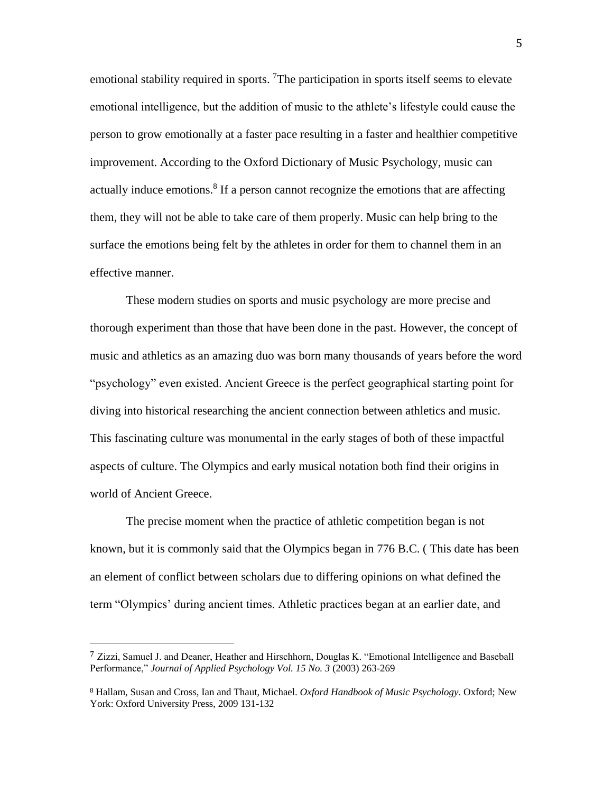emotional stability required in sports. <sup>7</sup>The participation in sports itself seems to elevate emotional intelligence, but the addition of music to the athlete's lifestyle could cause the person to grow emotionally at a faster pace resulting in a faster and healthier competitive improvement. According to the Oxford Dictionary of Music Psychology, music can actually induce emotions.<sup>8</sup> If a person cannot recognize the emotions that are affecting them, they will not be able to take care of them properly. Music can help bring to the surface the emotions being felt by the athletes in order for them to channel them in an effective manner.

These modern studies on sports and music psychology are more precise and thorough experiment than those that have been done in the past. However, the concept of music and athletics as an amazing duo was born many thousands of years before the word "psychology" even existed. Ancient Greece is the perfect geographical starting point for diving into historical researching the ancient connection between athletics and music. This fascinating culture was monumental in the early stages of both of these impactful aspects of culture. The Olympics and early musical notation both find their origins in world of Ancient Greece.

The precise moment when the practice of athletic competition began is not known, but it is commonly said that the Olympics began in 776 B.C. ( This date has been an element of conflict between scholars due to differing opinions on what defined the term "Olympics' during ancient times. Athletic practices began at an earlier date, and

 $\overline{\phantom{a}}$ 

<sup>7</sup> Zizzi, Samuel J. and Deaner, Heather and Hirschhorn, Douglas K. "Emotional Intelligence and Baseball Performance," *Journal of Applied Psychology Vol. 15 No. 3* (2003) 263-269

<sup>8</sup> Hallam, Susan and Cross, Ian and Thaut, Michael. *Oxford Handbook of Music Psychology*. Oxford; New York: Oxford University Press, 2009 131-132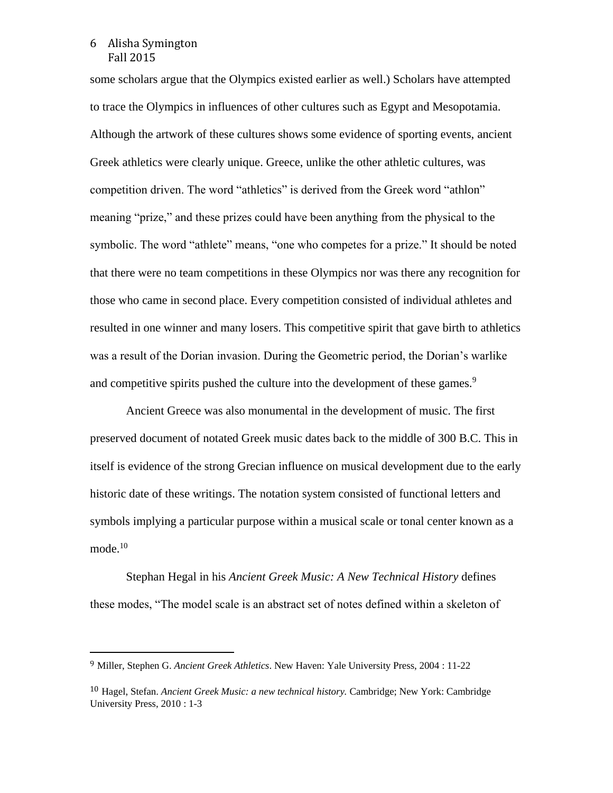#### Alisha Symington 6 Fall 2015

l

some scholars argue that the Olympics existed earlier as well.) Scholars have attempted to trace the Olympics in influences of other cultures such as Egypt and Mesopotamia. Although the artwork of these cultures shows some evidence of sporting events, ancient Greek athletics were clearly unique. Greece, unlike the other athletic cultures, was competition driven. The word "athletics" is derived from the Greek word "athlon" meaning "prize," and these prizes could have been anything from the physical to the symbolic. The word "athlete" means, "one who competes for a prize." It should be noted that there were no team competitions in these Olympics nor was there any recognition for those who came in second place. Every competition consisted of individual athletes and resulted in one winner and many losers. This competitive spirit that gave birth to athletics was a result of the Dorian invasion. During the Geometric period, the Dorian's warlike and competitive spirits pushed the culture into the development of these games.<sup>9</sup>

Ancient Greece was also monumental in the development of music. The first preserved document of notated Greek music dates back to the middle of 300 B.C. This in itself is evidence of the strong Grecian influence on musical development due to the early historic date of these writings. The notation system consisted of functional letters and symbols implying a particular purpose within a musical scale or tonal center known as a mode. $10$ 

Stephan Hegal in his *Ancient Greek Music: A New Technical History* defines these modes, "The model scale is an abstract set of notes defined within a skeleton of

<sup>9</sup> Miller, Stephen G. *Ancient Greek Athletics*. New Haven: Yale University Press, 2004 : 11-22

<sup>10</sup> Hagel, Stefan. *Ancient Greek Music: a new technical history.* Cambridge; New York: Cambridge University Press, 2010 : 1-3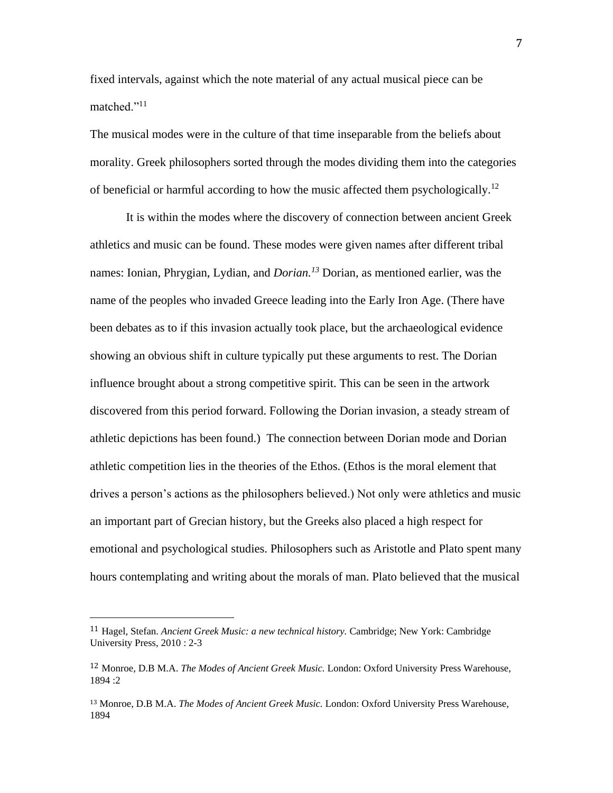fixed intervals, against which the note material of any actual musical piece can be matched."<sup>11</sup>

The musical modes were in the culture of that time inseparable from the beliefs about morality. Greek philosophers sorted through the modes dividing them into the categories of beneficial or harmful according to how the music affected them psychologically.<sup>12</sup>

It is within the modes where the discovery of connection between ancient Greek athletics and music can be found. These modes were given names after different tribal names: Ionian, Phrygian, Lydian, and *Dorian.<sup>13</sup>* Dorian, as mentioned earlier, was the name of the peoples who invaded Greece leading into the Early Iron Age. (There have been debates as to if this invasion actually took place, but the archaeological evidence showing an obvious shift in culture typically put these arguments to rest. The Dorian influence brought about a strong competitive spirit. This can be seen in the artwork discovered from this period forward. Following the Dorian invasion, a steady stream of athletic depictions has been found.) The connection between Dorian mode and Dorian athletic competition lies in the theories of the Ethos. (Ethos is the moral element that drives a person's actions as the philosophers believed.) Not only were athletics and music an important part of Grecian history, but the Greeks also placed a high respect for emotional and psychological studies. Philosophers such as Aristotle and Plato spent many hours contemplating and writing about the morals of man. Plato believed that the musical

 $\overline{\phantom{a}}$ 

<sup>11</sup> Hagel, Stefan. *Ancient Greek Music: a new technical history.* Cambridge; New York: Cambridge University Press, 2010 : 2-3

<sup>12</sup> Monroe, D.B M.A. *The Modes of Ancient Greek Music.* London: Oxford University Press Warehouse,  $1894 \cdot 2$ 

<sup>13</sup> Monroe, D.B M.A. *The Modes of Ancient Greek Music.* London: Oxford University Press Warehouse, 1894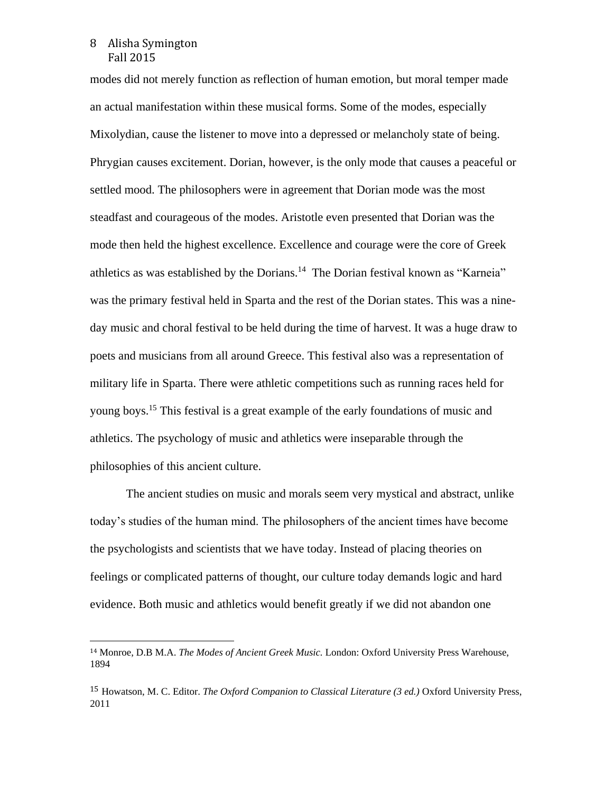#### Alisha Symington 8 Fall 2015

 $\overline{\phantom{a}}$ 

modes did not merely function as reflection of human emotion, but moral temper made an actual manifestation within these musical forms. Some of the modes, especially Mixolydian, cause the listener to move into a depressed or melancholy state of being. Phrygian causes excitement. Dorian, however, is the only mode that causes a peaceful or settled mood. The philosophers were in agreement that Dorian mode was the most steadfast and courageous of the modes. Aristotle even presented that Dorian was the mode then held the highest excellence. Excellence and courage were the core of Greek athletics as was established by the Dorians.<sup>14</sup> The Dorian festival known as "Karneia" was the primary festival held in Sparta and the rest of the Dorian states. This was a nineday music and choral festival to be held during the time of harvest. It was a huge draw to poets and musicians from all around Greece. This festival also was a representation of military life in Sparta. There were athletic competitions such as running races held for young boys.<sup>15</sup> This festival is a great example of the early foundations of music and athletics. The psychology of music and athletics were inseparable through the philosophies of this ancient culture.

The ancient studies on music and morals seem very mystical and abstract, unlike today's studies of the human mind. The philosophers of the ancient times have become the psychologists and scientists that we have today. Instead of placing theories on feelings or complicated patterns of thought, our culture today demands logic and hard evidence. Both music and athletics would benefit greatly if we did not abandon one

<sup>14</sup> Monroe, D.B M.A. *The Modes of Ancient Greek Music.* London: Oxford University Press Warehouse, 1894

<sup>15</sup> Howatson, M. C. Editor. *The Oxford Companion to Classical Literature (3 ed.)* Oxford University Press, 2011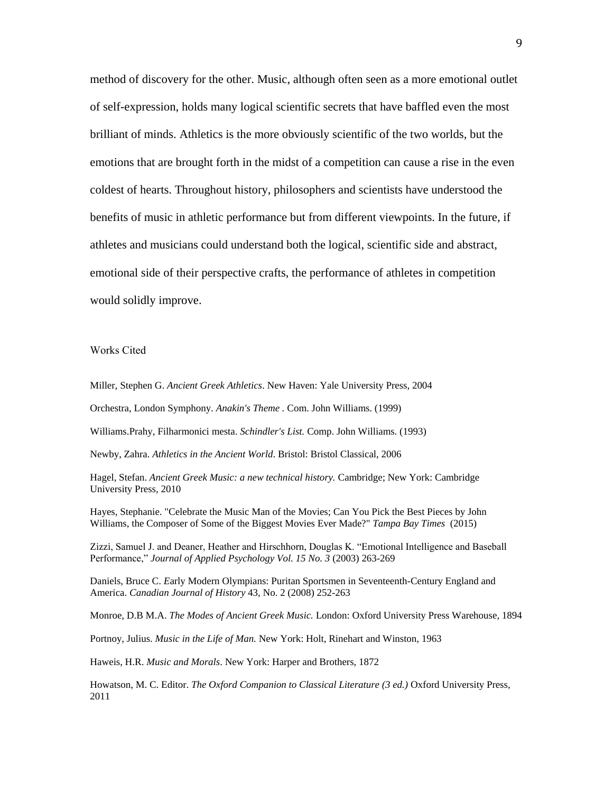method of discovery for the other. Music, although often seen as a more emotional outlet of self-expression, holds many logical scientific secrets that have baffled even the most brilliant of minds. Athletics is the more obviously scientific of the two worlds, but the emotions that are brought forth in the midst of a competition can cause a rise in the even coldest of hearts. Throughout history, philosophers and scientists have understood the benefits of music in athletic performance but from different viewpoints. In the future, if athletes and musicians could understand both the logical, scientific side and abstract, emotional side of their perspective crafts, the performance of athletes in competition would solidly improve.

Works Cited

Miller, Stephen G. *Ancient Greek Athletics*. New Haven: Yale University Press, 2004

Orchestra, London Symphony. *Anakin's Theme .* Com. John Williams. (1999)

Williams.Prahy, Filharmonici mesta. *Schindler's List.* Comp. John Williams. (1993)

Newby, Zahra. *Athletics in the Ancient World*. Bristol: Bristol Classical, 2006

Hagel, Stefan. *Ancient Greek Music: a new technical history.* Cambridge; New York: Cambridge University Press, 2010

Hayes, Stephanie. "Celebrate the Music Man of the Movies; Can You Pick the Best Pieces by John Williams, the Composer of Some of the Biggest Movies Ever Made?" *Tampa Bay Times* (2015)

Zizzi, Samuel J. and Deaner, Heather and Hirschhorn, Douglas K. "Emotional Intelligence and Baseball Performance," *Journal of Applied Psychology Vol. 15 No. 3* (2003) 263-269

Daniels, Bruce C. *E*arly Modern Olympians: Puritan Sportsmen in Seventeenth-Century England and America. *Canadian Journal of History* 43, No. 2 (2008) 252-263

Monroe, D.B M.A. *The Modes of Ancient Greek Music.* London: Oxford University Press Warehouse, 1894

Portnoy, Julius. *Music in the Life of Man.* New York: Holt, Rinehart and Winston, 1963

Haweis, H.R. *Music and Morals*. New York: Harper and Brothers, 1872

Howatson, M. C. Editor. *The Oxford Companion to Classical Literature (3 ed.)* Oxford University Press, 2011